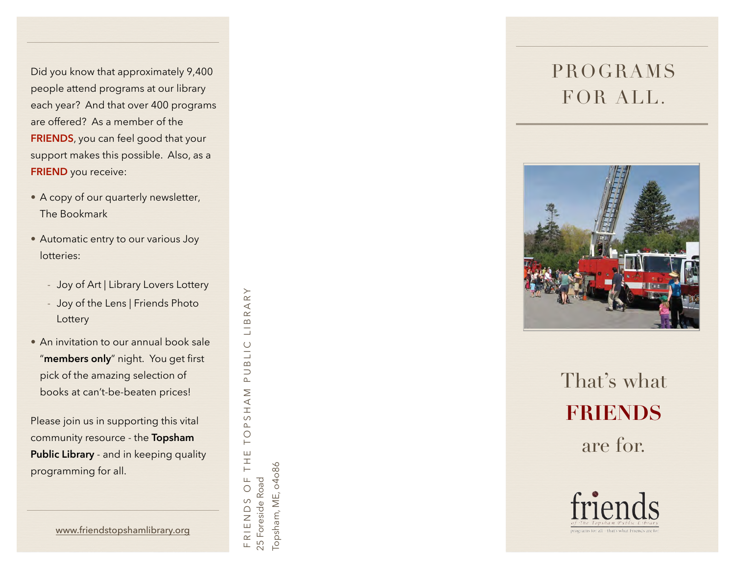Did you know that approximately 9,400 people attend programs at our library each year? And that over 400 programs are offered? As a member of the **FRIENDS**, you can feel good that your support makes this possible. Also, as a **FRIEND** you receive:<br>• A copy of our quarterly newsletter,

- The Bookmark
- Automatic entry to our various Joy lotteries:
	- Joy of Art | Library Lovers Lottery
	- Joy of the Lens | Friends Photo Lottery
- An invitation to our annual book sale "**members only**" night. You get first pick of the amazing selection of books at can't-be-beaten prices!

Please join us in supporting this vital community resource - the **Topsham Public Library** - and in keeping quality programming for all.

RARY FRIENDS OF THE TOPSHAM PUBLIC LIBRARY  $\infty$ Ξ **BLIC**  $\overline{D}$  $\begin{array}{c}\n\blacksquare \\
\blacksquare\n\end{array}$  $\circ$  $\Delta$  $\bigcirc$  $\vdash$ THE  $\sqcup$ 25 Foreside Road 25 Foreside Road  $\circ$  $\circ$ FRIEND

Topsham, ME, o4o86 Topsham, ME, 04086 PROGRAMS FOR ALL .



That's what **FRIENDS** are for.



[www.friendstopshamlibrary.org](http://www.friendstopshamlibrary.org)